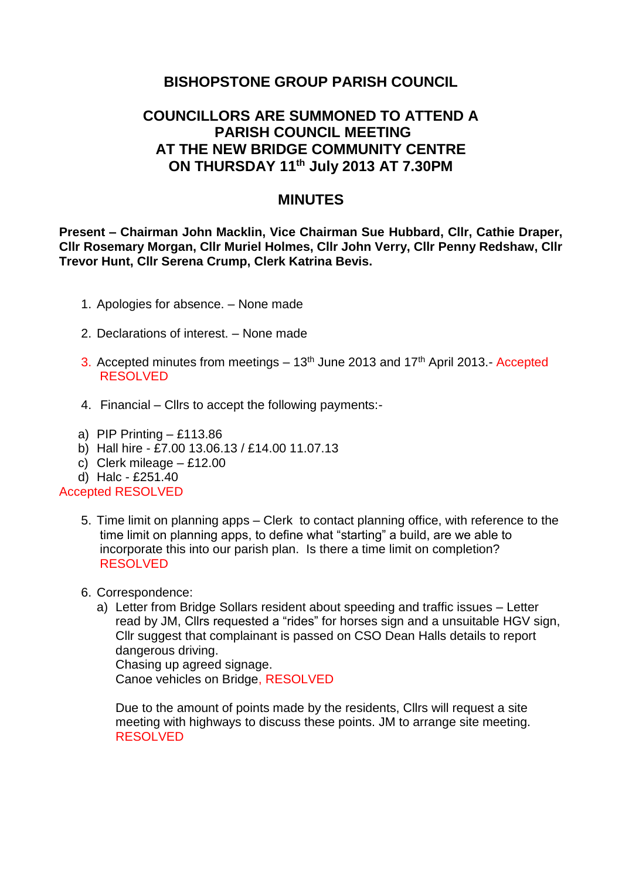# **BISHOPSTONE GROUP PARISH COUNCIL**

# **COUNCILLORS ARE SUMMONED TO ATTEND A PARISH COUNCIL MEETING AT THE NEW BRIDGE COMMUNITY CENTRE ON THURSDAY 11th July 2013 AT 7.30PM**

### **MINUTES**

**Present – Chairman John Macklin, Vice Chairman Sue Hubbard, Cllr, Cathie Draper, Cllr Rosemary Morgan, Cllr Muriel Holmes, Cllr John Verry, Cllr Penny Redshaw, Cllr Trevor Hunt, Cllr Serena Crump, Clerk Katrina Bevis.**

- 1. Apologies for absence. None made
- 2. Declarations of interest. None made
- 3. Accepted minutes from meetings  $-13<sup>th</sup>$  June 2013 and 17<sup>th</sup> April 2013.- Accepted RESOLVED
- 4. Financial Cllrs to accept the following payments:-
- a) PIP Printing  $-$  £113.86
- b) Hall hire £7.00 13.06.13 / £14.00 11.07.13
- c) Clerk mileage £12.00
- d) Halc £251.40

#### Accepted RESOLVED

- 5. Time limit on planning apps Clerk to contact planning office, with reference to the time limit on planning apps, to define what "starting" a build, are we able to incorporate this into our parish plan. Is there a time limit on completion? RESOLVED
- 6. Correspondence:
	- a) Letter from Bridge Sollars resident about speeding and traffic issues Letter read by JM, Cllrs requested a "rides" for horses sign and a unsuitable HGV sign, Cllr suggest that complainant is passed on CSO Dean Halls details to report dangerous driving.

Chasing up agreed signage. Canoe vehicles on Bridge, RESOLVED

Due to the amount of points made by the residents, Cllrs will request a site meeting with highways to discuss these points. JM to arrange site meeting. RESOLVED